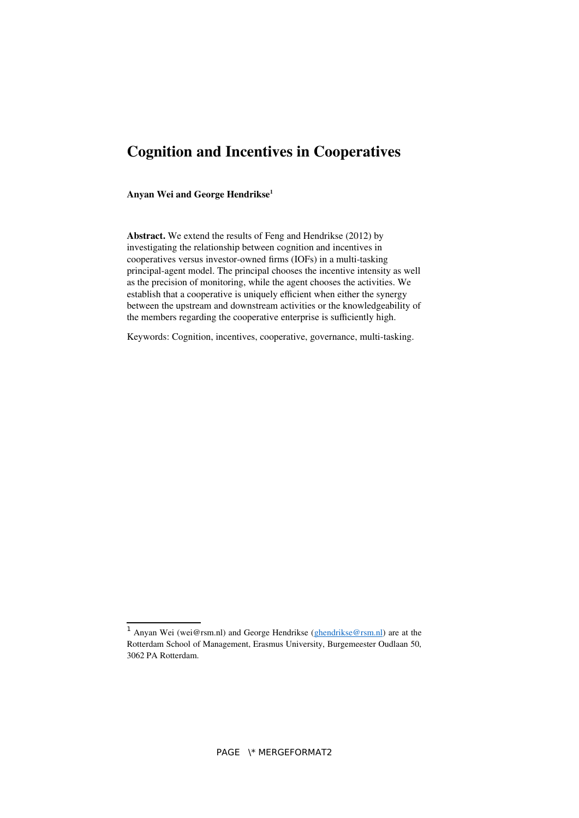# **Cognition and Incentives in Cooperatives**

<span id="page-0-0"></span>**Anyan Wei and George Hendrikse[1](#page-0-1)**

**Abstract.** We extend the results of Feng and Hendrikse (2012) by investigating the relationship between cognition and incentives in cooperatives versus investor-owned firms (IOFs) in a multi-tasking principal-agent model. The principal chooses the incentive intensity as well as the precision of monitoring, while the agent chooses the activities. We establish that a cooperative is uniquely efficient when either the synergy between the upstream and downstream activities or the knowledgeability of the members regarding the cooperative enterprise is sufficiently high.

Keywords: Cognition, incentives, cooperative, governance, multi-tasking.

<span id="page-0-1"></span><sup>&</sup>lt;sup>[1](#page-0-0)</sup> Anyan Wei (wei@rsm.nl) and George Hendrikse [\(ghendrikse@rsm.nl\)](mailto:ghendrikse@rsm.nl) are at the Rotterdam School of Management, Erasmus University, Burgemeester Oudlaan 50, 3062 PA Rotterdam.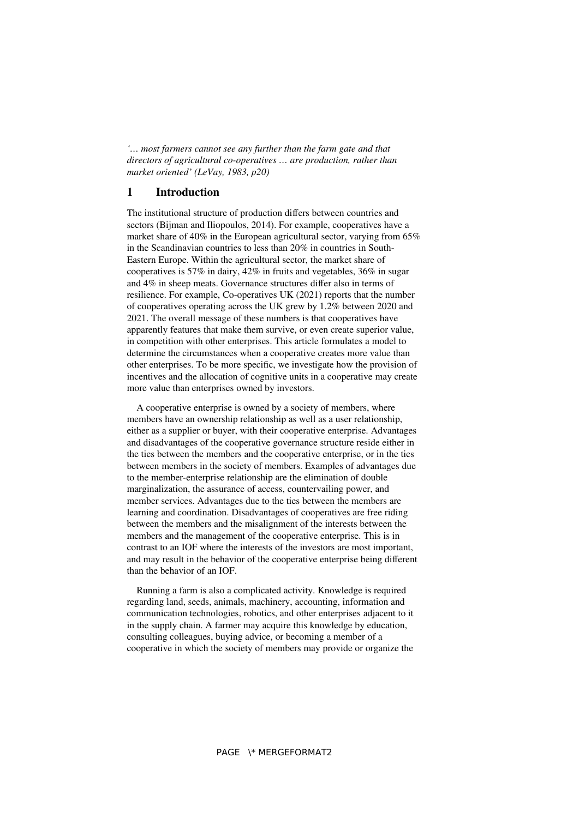*'… most farmers cannot see any further than the farm gate and that directors of agricultural co-operatives … are production, rather than market oriented' (LeVay, 1983, p20)*

### **1 Introduction**

The institutional structure of production differs between countries and sectors (Bijman and Iliopoulos, 2014). For example, cooperatives have a market share of 40% in the European agricultural sector, varying from 65% in the Scandinavian countries to less than 20% in countries in South-Eastern Europe. Within the agricultural sector, the market share of cooperatives is 57% in dairy, 42% in fruits and vegetables, 36% in sugar and 4% in sheep meats. Governance structures differ also in terms of resilience. For example, Co-operatives UK (2021) reports that the number of cooperatives operating across the UK grew by 1.2% between 2020 and 2021. The overall message of these numbers is that cooperatives have apparently features that make them survive, or even create superior value, in competition with other enterprises. This article formulates a model to determine the circumstances when a cooperative creates more value than other enterprises. To be more specific, we investigate how the provision of incentives and the allocation of cognitive units in a cooperative may create more value than enterprises owned by investors.

A cooperative enterprise is owned by a society of members, where members have an ownership relationship as well as a user relationship, either as a supplier or buyer, with their cooperative enterprise. Advantages and disadvantages of the cooperative governance structure reside either in the ties between the members and the cooperative enterprise, or in the ties between members in the society of members. Examples of advantages due to the member-enterprise relationship are the elimination of double marginalization, the assurance of access, countervailing power, and member services. Advantages due to the ties between the members are learning and coordination. Disadvantages of cooperatives are free riding between the members and the misalignment of the interests between the members and the management of the cooperative enterprise. This is in contrast to an IOF where the interests of the investors are most important, and may result in the behavior of the cooperative enterprise being different than the behavior of an IOF.

Running a farm is also a complicated activity. Knowledge is required regarding land, seeds, animals, machinery, accounting, information and communication technologies, robotics, and other enterprises adjacent to it in the supply chain. A farmer may acquire this knowledge by education, consulting colleagues, buying advice, or becoming a member of a cooperative in which the society of members may provide or organize the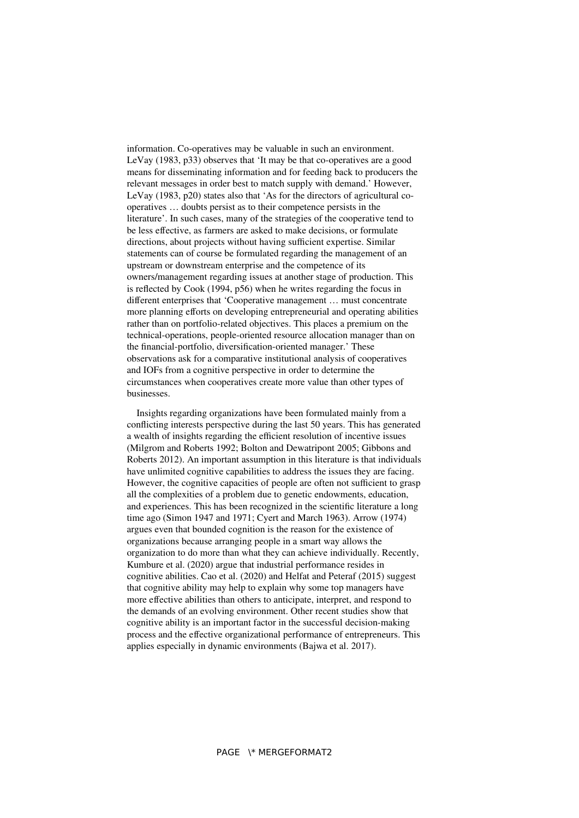information. Co-operatives may be valuable in such an environment. LeVay (1983, p33) observes that 'It may be that co-operatives are a good means for disseminating information and for feeding back to producers the relevant messages in order best to match supply with demand.' However, LeVay (1983, p20) states also that 'As for the directors of agricultural cooperatives … doubts persist as to their competence persists in the literature'. In such cases, many of the strategies of the cooperative tend to be less effective, as farmers are asked to make decisions, or formulate directions, about projects without having sufficient expertise. Similar statements can of course be formulated regarding the management of an upstream or downstream enterprise and the competence of its owners/management regarding issues at another stage of production. This is reflected by Cook (1994, p56) when he writes regarding the focus in different enterprises that 'Cooperative management … must concentrate more planning efforts on developing entrepreneurial and operating abilities rather than on portfolio-related objectives. This places a premium on the technical-operations, people-oriented resource allocation manager than on the financial-portfolio, diversification-oriented manager.' These observations ask for a comparative institutional analysis of cooperatives and IOFs from a cognitive perspective in order to determine the circumstances when cooperatives create more value than other types of businesses.

Insights regarding organizations have been formulated mainly from a conflicting interests perspective during the last 50 years. This has generated a wealth of insights regarding the efficient resolution of incentive issues (Milgrom and Roberts 1992; Bolton and Dewatripont 2005; Gibbons and Roberts 2012). An important assumption in this literature is that individuals have unlimited cognitive capabilities to address the issues they are facing. However, the cognitive capacities of people are often not sufficient to grasp all the complexities of a problem due to genetic endowments, education, and experiences. This has been recognized in the scientific literature a long time ago (Simon 1947 and 1971; Cyert and March 1963). Arrow (1974) argues even that bounded cognition is the reason for the existence of organizations because arranging people in a smart way allows the organization to do more than what they can achieve individually. Recently, Kumbure et al. (2020) argue that industrial performance resides in cognitive abilities. Cao et al. (2020) and Helfat and Peteraf (2015) suggest that cognitive ability may help to explain why some top managers have more effective abilities than others to anticipate, interpret, and respond to the demands of an evolving environment. Other recent studies show that cognitive ability is an important factor in the successful decision-making process and the effective organizational performance of entrepreneurs. This applies especially in dynamic environments (Bajwa et al. 2017).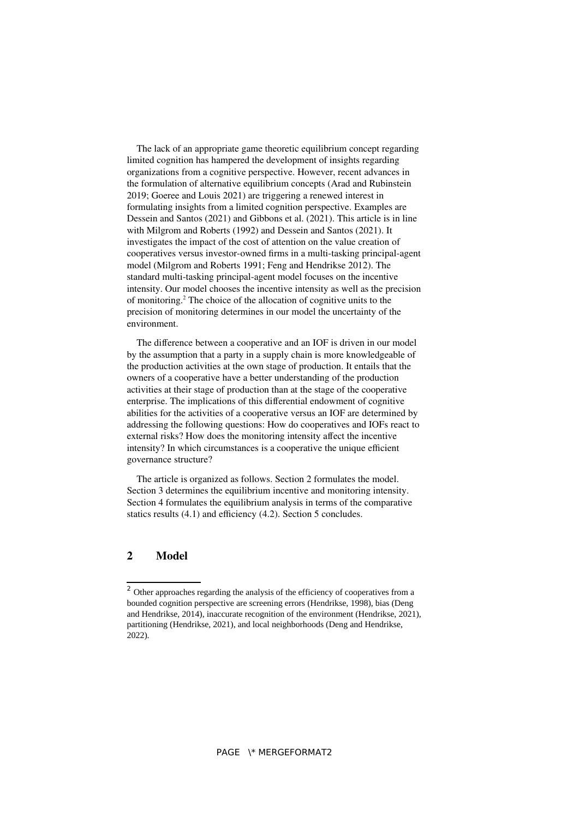The lack of an appropriate game theoretic equilibrium concept regarding limited cognition has hampered the development of insights regarding organizations from a cognitive perspective. However, recent advances in the formulation of alternative equilibrium concepts (Arad and Rubinstein 2019; Goeree and Louis 2021) are triggering a renewed interest in formulating insights from a limited cognition perspective. Examples are Dessein and Santos (2021) and Gibbons et al. (2021). This article is in line with Milgrom and Roberts (1992) and Dessein and Santos (2021). It investigates the impact of the cost of attention on the value creation of cooperatives versus investor-owned firms in a multi-tasking principal-agent model (Milgrom and Roberts 1991; Feng and Hendrikse 2012). The standard multi-tasking principal-agent model focuses on the incentive intensity. Our model chooses the incentive intensity as well as the precision of monitoring.[2](#page-3-1) The choice of the allocation of cognitive units to the precision of monitoring determines in our model the uncertainty of the environment.

<span id="page-3-0"></span>The difference between a cooperative and an IOF is driven in our model by the assumption that a party in a supply chain is more knowledgeable of the production activities at the own stage of production. It entails that the owners of a cooperative have a better understanding of the production activities at their stage of production than at the stage of the cooperative enterprise. The implications of this differential endowment of cognitive abilities for the activities of a cooperative versus an IOF are determined by addressing the following questions: How do cooperatives and IOFs react to external risks? How does the monitoring intensity affect the incentive intensity? In which circumstances is a cooperative the unique efficient governance structure?

The article is organized as follows. Section 2 formulates the model. Section 3 determines the equilibrium incentive and monitoring intensity. Section 4 formulates the equilibrium analysis in terms of the comparative statics results (4.1) and efficiency (4.2). Section 5 concludes.

#### **2 Model**

<span id="page-3-1"></span><sup>&</sup>lt;sup>[2](#page-3-0)</sup> Other approaches regarding the analysis of the efficiency of cooperatives from a bounded cognition perspective are screening errors (Hendrikse, 1998), bias (Deng and Hendrikse, 2014), inaccurate recognition of the environment (Hendrikse, 2021), partitioning (Hendrikse, 2021), and local neighborhoods (Deng and Hendrikse, 2022).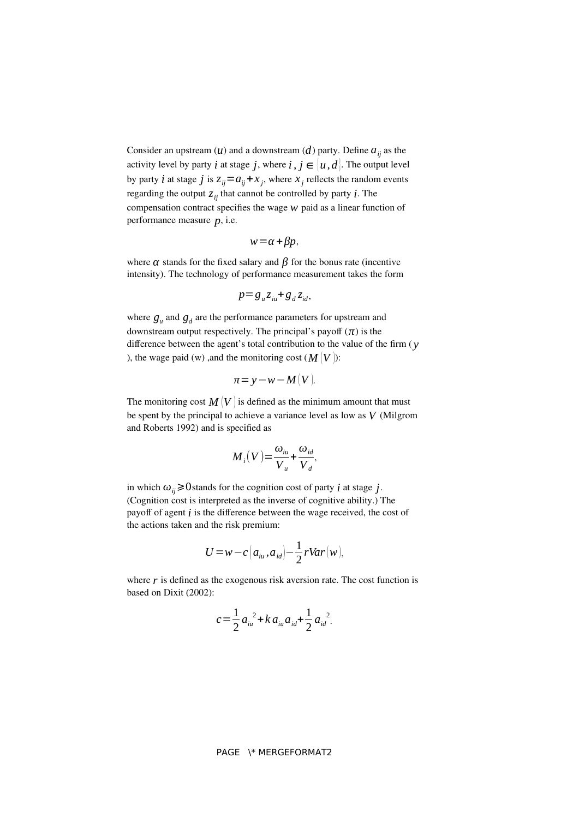Consider an upstream  $(u)$  and a downstream  $(d)$  party. Define  $a_{ii}$  as the activity level by party *i* at stage *j*, where *i*,  $j \in [u, d]$ . The output level by party *i* at stage *j* is  $z_{ij} = a_{ij} + x_j$ , where  $x_j$  reflects the random events regarding the output  $z_{ij}$  that cannot be controlled by party *i*. The compensation contract specifies the wage *w* paid as a linear function of performance measure *p*, i.e.

$$
w = \alpha + \beta p,
$$

where  $\alpha$  stands for the fixed salary and  $\beta$  for the bonus rate (incentive intensity). The technology of performance measurement takes the form

$$
p = g_u z_{iu} + g_d z_{id},
$$

where  $g_u$  and  $g_d$  are the performance parameters for upstream and downstream output respectively. The principal's payoff  $(\pi)$  is the difference between the agent's total contribution to the value of the firm ( *y* ), the wage paid (w) ,and the monitoring cost  $(M|V)$ :

$$
\pi = y - w - M(V).
$$

The monitoring cost  $M(V)$  is defined as the minimum amount that must be spent by the principal to achieve a variance level as low as *V* (Milgrom and Roberts 1992) and is specified as

$$
M_{i}(V) = \frac{\omega_{iu}}{V_{u}} + \frac{\omega_{id}}{V_{d}},
$$

in which  $\omega_{ii} \ge 0$  stands for the cognition cost of party *i* at stage *j*. (Cognition cost is interpreted as the inverse of cognitive ability.) The payoff of agent *i* is the difference between the wage received, the cost of the actions taken and the risk premium:

$$
U = w - c \left( a_{iu}, a_{id} \right) - \frac{1}{2} r \text{Var} \left( w \right),
$$

where  *is defined as the exogenous risk aversion rate. The cost function is* based on Dixit (2002):

$$
c = \frac{1}{2} a_{iu}^2 + k a_{iu} a_{id} + \frac{1}{2} a_{id}^2.
$$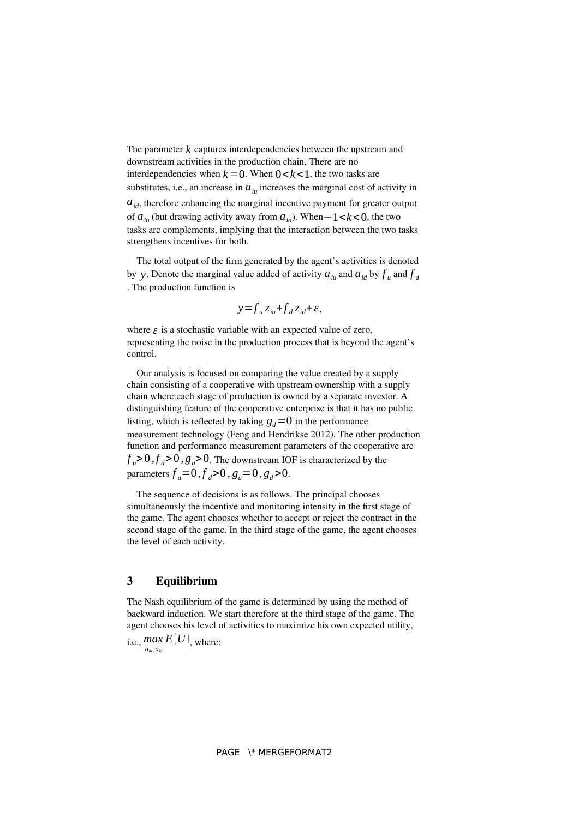The parameter  $k$  captures interdependencies between the upstream and downstream activities in the production chain. There are no interdependencies when  $k=0$ . When  $0 < k < 1$ , the two tasks are substitutes, i.e., an increase in  $a_{i}$  increases the marginal cost of activity in  $a_{id}$ , therefore enhancing the marginal incentive payment for greater output of  $a_{i}$  (but drawing activity away from  $a_{id}$ ). When–1< $k$ <0, the two tasks are complements, implying that the interaction between the two tasks strengthens incentives for both.

The total output of the firm generated by the agent's activities is denoted by *y*. Denote the marginal value added of activity  $a_{i*u*}$  and  $a_{id}$  by  $f_{i*u*}$  and  $f_{d}$ . The production function is

$$
y = f_u z_{iu} + f_d z_{id} + \varepsilon,
$$

where  $\epsilon$  is a stochastic variable with an expected value of zero, representing the noise in the production process that is beyond the agent's control.

Our analysis is focused on comparing the value created by a supply chain consisting of a cooperative with upstream ownership with a supply chain where each stage of production is owned by a separate investor. A distinguishing feature of the cooperative enterprise is that it has no public listing, which is reflected by taking  $q_d = 0$  in the performance measurement technology (Feng and Hendrikse 2012). The other production function and performance measurement parameters of the cooperative are  $f_u > 0$ ,  $f_d > 0$ ,  $g_u > 0$ . The downstream IOF is characterized by the parameters  $f_u = 0$ ,  $f_d > 0$ ,  $g_u = 0$ ,  $g_d > 0$ .

The sequence of decisions is as follows. The principal chooses simultaneously the incentive and monitoring intensity in the first stage of the game. The agent chooses whether to accept or reject the contract in the second stage of the game. In the third stage of the game, the agent chooses the level of each activity.

### **3 Equilibrium**

The Nash equilibrium of the game is determined by using the method of backward induction. We start therefore at the third stage of the game. The agent chooses his level of activities to maximize his own expected utility,

i.e.,  $\max_{a_{\mu},a_{\mu}} E(U)$ , where: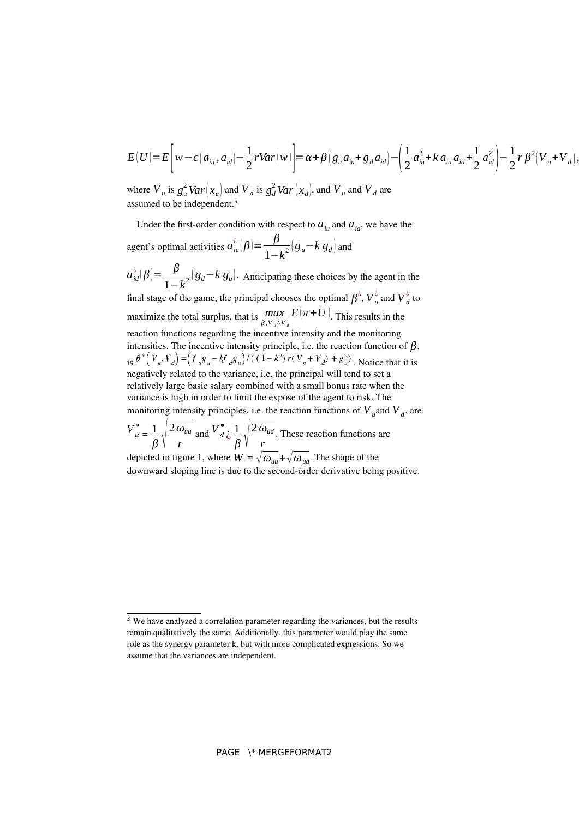$$
E(U) = E\bigg[ w - c\big(a_{iu}, a_{id}\big) - \frac{1}{2}rVar\big(w\big)\bigg] = \alpha + \beta\big(g_u a_{iu} + g_d a_{id}\big) - \bigg(\frac{1}{2}a_{iu}^2 + k a_{iu}a_{id} + \frac{1}{2}a_{id}^2\bigg) - \frac{1}{2}r\,\beta^2\big(V_u + V_d\big),
$$

<span id="page-6-0"></span>where  $V_u$  is  $g_u^2 Var(x_u)$  and  $V_d$  is  $g_d^2 Var(x_d)$ , and  $V_u$  and  $V_d$  are assumed to be independent.<sup>[3](#page-6-1)</sup>

Under the first-order condition with respect to  $a_{i}$  and  $a_{id}$ , we have the agent's optimal activities  $a_{i}^{\lambda}(\beta) = \frac{\beta}{4}$  $\frac{\beta}{1-k^2} (g_u - k g_d)$  and  $a_{id}^{\lambda}(\beta) = \frac{\beta}{4}$  $\frac{p}{1-k^2}(g_d-k g_u)$ . Anticipating these choices by the agent in the final stage of the game, the principal chooses the optimal  $\beta^{\dot{i}}$ ,  $V^{\dot{i}}_{\dot{u}}$  and  $V^{\dot{i}}_{\dot{d}}$  to maximize the total surplus, that is  $\max_{\beta, V_u \wedge V_d}$  $E(\pi+U)$ . This results in the reaction functions regarding the incentive intensity and the monitoring intensities. The incentive intensity principle, i.e. the reaction function of  $\beta$ , is  $\beta^* (V_u, V_d) = (f_u g_u - k f_d g_u) / ((1 - k^2) r (V_u + V_d) + g_u^2)$ . Notice that it is negatively related to the variance, i.e. the principal will tend to set a relatively large basic salary combined with a small bonus rate when the variance is high in order to limit the expose of the agent to risk. The monitoring intensity principles, i.e. the reaction functions of  $V_u$  and  $V_d$ , are  $=\frac{1}{2}$ *β*√ 2*ωuu r* and  $V_d^*$   $\frac{1}{4}$ *β*√ 2*ωud r* . These reaction functions are depicted in figure 1, where  $W = \sqrt{\omega_{uu}} + \sqrt{\omega_{ud}}$ . The shape of the downward sloping line is due to the second-order derivative being positive.

<span id="page-6-1"></span><sup>&</sup>lt;sup>[3](#page-6-0)</sup> We have analyzed a correlation parameter regarding the variances, but the results remain qualitatively the same. Additionally, this parameter would play the same role as the synergy parameter k, but with more complicated expressions. So we assume that the variances are independent.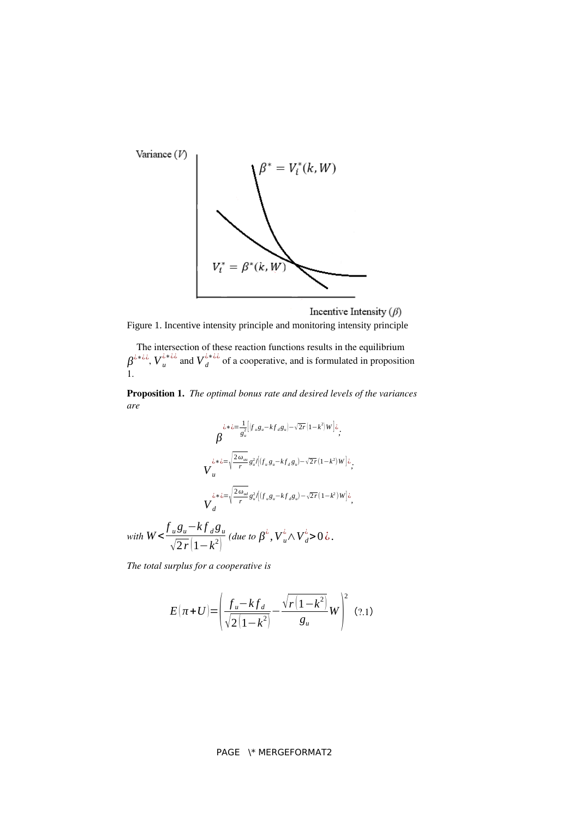

Incentive Intensity  $(\beta)$ 

Figure 1. Incentive intensity principle and monitoring intensity principle

The intersection of these reaction functions results in the equilibrium  $\beta^{i * i \lambda}$ ,  $V_u^{i * i \lambda}$  and  $V_d^{i * i \lambda}$  of a cooperative, and is formulated in proposition 1.

**Proposition 1.** *The optimal bonus rate and desired levels of the variances are* 

$$
\beta^{\lambda * \lambda = \frac{1}{g_u^2} \left[ \int_{u}^{u} g_u - k f_d g_u \right] - \sqrt{2r} \left( 1 - k^2 \right) W \right] \lambda};
$$
\n
$$
V_u^{\lambda * \lambda = \sqrt{\frac{2 \omega_{uu}}{r}} g_u^2 / \left( \int_{u}^{u} g_u - k f_d g_u \right) - \sqrt{2r} \left( 1 - k^2 \right) W \right] \lambda};
$$
\n
$$
V_d^{\lambda * \lambda = \sqrt{\frac{2 \omega_{ud}}{r}} g_u^2 / \left( \int_{u}^{u} g_u - k f_d g_u \right) - \sqrt{2r} \left( 1 - k^2 \right) W \right] \lambda},
$$

with 
$$
W < \frac{f_u g_u - k f_d g_u}{\sqrt{2r}(1 - k^2)}
$$
 (due to  $\beta^{\lambda}$ ,  $V_u^{\lambda} \wedge V_d^{\lambda} > 0 \lambda$ ).

*The total surplus for a cooperative is*

$$
E(\pi + U) = \left(\frac{f_u - k f_d}{\sqrt{2(1 - k^2)}} - \frac{\sqrt{r(1 - k^2)}}{g_u} W\right)^2 \quad (2.1)
$$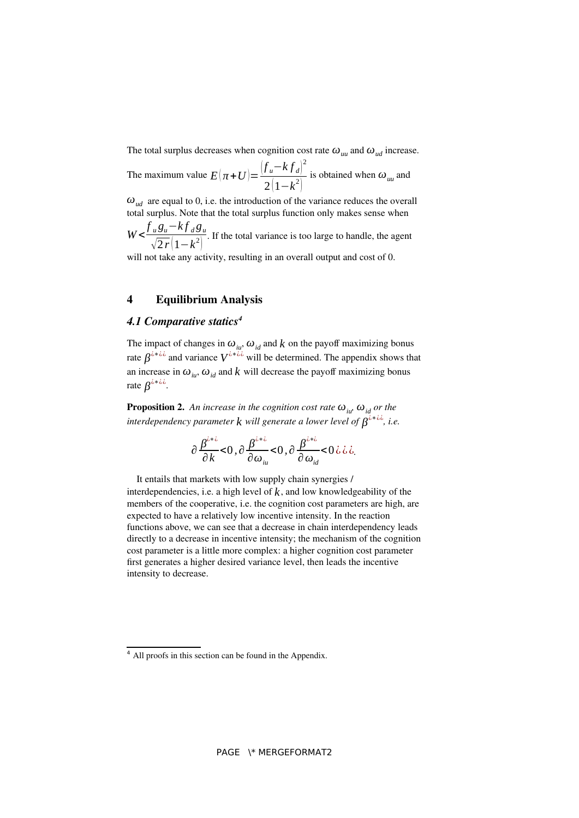The total surplus decreases when cognition cost rate  $\omega_{uu}$  and  $\omega_{ud}$  increase.

The maximum value  $E(\pi+U) = \frac{(f_u - kf_d)^2}{(f_u - g_u)^2}$  $\frac{2(1-k^2)}{2(1-k^2)}$  is obtained when  $\omega_{uu}$  and

*ωud* are equal to 0, i.e. the introduction of the variance reduces the overall total surplus. Note that the total surplus function only makes sense when  $W < \frac{\int_a^b g_u - k \int_a^b g_u}{\sqrt{g_u} + k \int_a^b g_u}$  $\sqrt{2r(1-k^2)}$ . If the total variance is too large to handle, the agent

will not take any activity, resulting in an overall output and cost of 0.

### **4 Equilibrium Analysis**

#### <span id="page-8-0"></span>*4.1 Comparative statics[4](#page-8-1)*

The impact of changes in  $\omega_{i}$ ,  $\omega_{id}$  and *k* on the payoff maximizing bonus rate  $\beta^{i * i \lambda}$  and variance  $V^{i * i \lambda}$  will be determined. The appendix shows that an increase in  $\omega_{i}$ ,  $\omega_{id}$  and  $k$  will decrease the payoff maximizing bonus rate  $\beta^{\lambda * \lambda \lambda}$ .

**Proposition 2.** An increase in the cognition cost rate  $\omega_{\mu}$ ,  $\omega_{\mu}$  or the *interdependency parameter <i>will generate a lower level of*  $\beta^{i * i, i}$ *, i.e.* 

$$
\frac{\partial \frac{\beta^{i\ast i}}{\partial k}}{0, \frac{\partial \beta^{i\ast i}}{\partial \omega_{i\omega}}}<0, \frac{\beta^{i\ast i}}{\partial \omega_{i d}}<0 \text{ is } i.
$$

It entails that markets with low supply chain synergies / interdependencies, i.e. a high level of  $k$ , and low knowledgeability of the members of the cooperative, i.e. the cognition cost parameters are high, are expected to have a relatively low incentive intensity. In the reaction functions above, we can see that a decrease in chain interdependency leads directly to a decrease in incentive intensity; the mechanism of the cognition cost parameter is a little more complex: a higher cognition cost parameter first generates a higher desired variance level, then leads the incentive intensity to decrease.

<span id="page-8-1"></span>[<sup>4</sup>](#page-8-0) All proofs in this section can be found in the Appendix.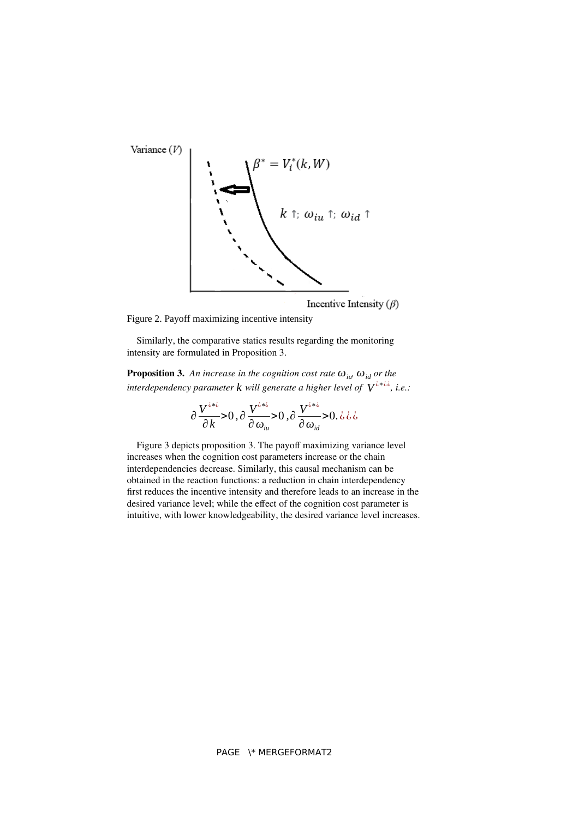

Incentive Intensity  $(\beta)$ 

Figure 2. Payoff maximizing incentive intensity

Similarly, the comparative statics results regarding the monitoring intensity are formulated in Proposition 3.

**Proposition 3.** An increase in the cognition cost rate  $\omega_{\mu}$ ,  $\omega_{\mu}$  or the *interdependency parameter <i>k* will generate a higher level of  $\overline{V}^{i*ijk}$ , i.e.:

$$
\frac{\partial V^{i\ast i}}{\partial k} > 0, \frac{\partial V^{i\ast i}}{\partial \omega_{i\mu}} > 0, \frac{\partial V^{i\ast i}}{\partial \omega_{i d}} > 0, \dot{\omega} \dot{\omega}
$$

Figure 3 depicts proposition 3. The payoff maximizing variance level increases when the cognition cost parameters increase or the chain interdependencies decrease. Similarly, this causal mechanism can be obtained in the reaction functions: a reduction in chain interdependency first reduces the incentive intensity and therefore leads to an increase in the desired variance level; while the effect of the cognition cost parameter is intuitive, with lower knowledgeability, the desired variance level increases.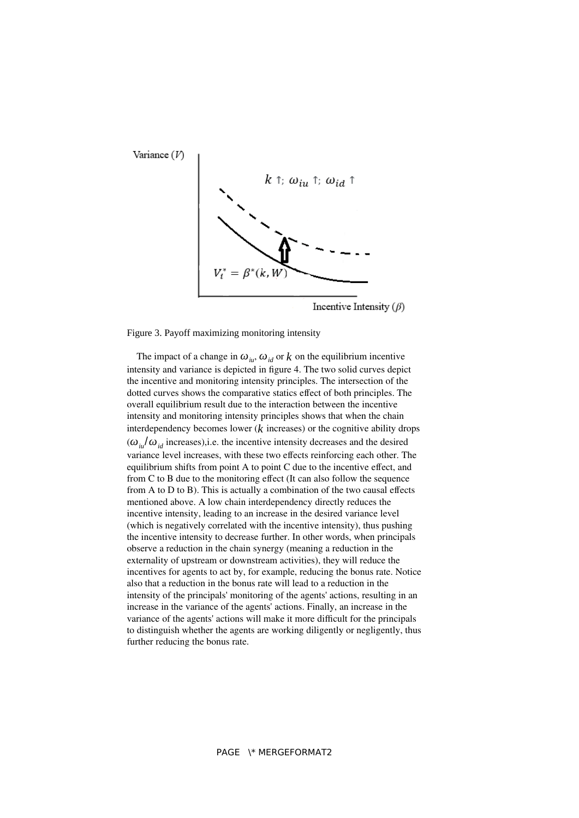

Figure 3. Payoff maximizing monitoring intensity

The impact of a change in  $\omega_{i\mu}$ ,  $\omega_{id}$  or  $k$  on the equilibrium incentive intensity and variance is depicted in figure 4. The two solid curves depict the incentive and monitoring intensity principles. The intersection of the dotted curves shows the comparative statics effect of both principles. The overall equilibrium result due to the interaction between the incentive intensity and monitoring intensity principles shows that when the chain interdependency becomes lower  $(k$  increases) or the cognitive ability drops  $(\omega_{i} / \omega_{i}$  increases), i.e. the incentive intensity decreases and the desired variance level increases, with these two effects reinforcing each other. The equilibrium shifts from point A to point C due to the incentive effect, and from C to B due to the monitoring effect (It can also follow the sequence from A to D to B). This is actually a combination of the two causal effects mentioned above. A low chain interdependency directly reduces the incentive intensity, leading to an increase in the desired variance level (which is negatively correlated with the incentive intensity), thus pushing the incentive intensity to decrease further. In other words, when principals observe a reduction in the chain synergy (meaning a reduction in the externality of upstream or downstream activities), they will reduce the incentives for agents to act by, for example, reducing the bonus rate. Notice also that a reduction in the bonus rate will lead to a reduction in the intensity of the principals' monitoring of the agents' actions, resulting in an increase in the variance of the agents' actions. Finally, an increase in the variance of the agents' actions will make it more difficult for the principals to distinguish whether the agents are working diligently or negligently, thus further reducing the bonus rate.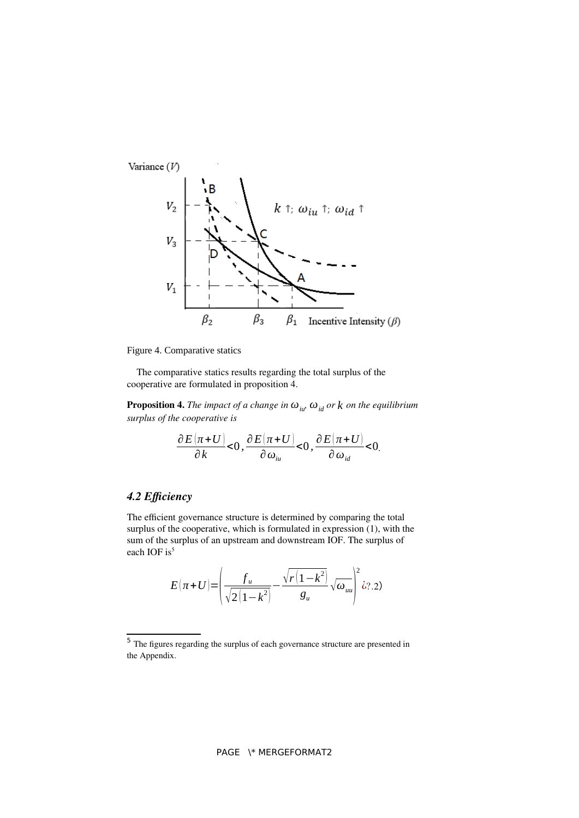

Figure 4. Comparative statics

The comparative statics results regarding the total surplus of the cooperative are formulated in proposition 4.

**Proposition 4.** *The impact of a change in*  $\omega_{\mu}$ ,  $\omega_{id}$  *or k on the equilibrium surplus of the cooperative is*

$$
\frac{\partial E(\pi+U)}{\partial k}<0,\frac{\partial E(\pi+U)}{\partial \omega_{i\omega}}<0,\frac{\partial E(\pi+U)}{\partial \omega_{i\omega}}<0.
$$

# *4.2 Efficiency*

The efficient governance structure is determined by comparing the total surplus of the cooperative, which is formulated in expression (1), with the sum of the surplus of an upstream and downstream IOF. The surplus of each IOF is<sup>[5](#page-11-1)</sup>

<span id="page-11-0"></span>
$$
E(\pi+U) = \left(\frac{f_u}{\sqrt{2(1-k^2)}} - \frac{\sqrt{r(1-k^2)}}{g_u}\sqrt{\omega_{uu}}\right)^2 \dot{\omega}
$$

<span id="page-11-1"></span><sup>&</sup>lt;sup>[5](#page-11-0)</sup> The figures regarding the surplus of each governance structure are presented in the Appendix.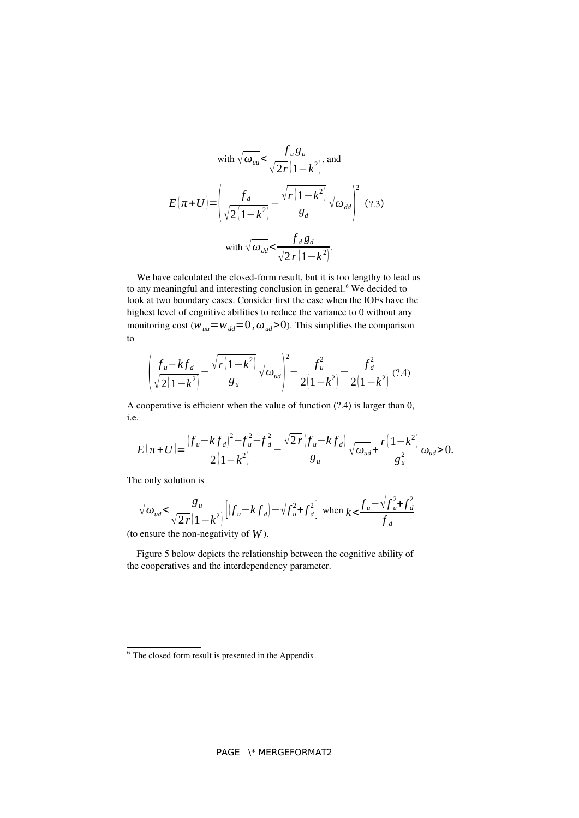with 
$$
\sqrt{\omega_{uu}} < \frac{f_u g_u}{\sqrt{2r}(1 - k^2)}
$$
, and  
\n
$$
E(\pi + U) = \left(\frac{f_d}{\sqrt{2(1 - k^2)}} - \frac{\sqrt{r(1 - k^2)}}{g_d}\sqrt{\omega_{dd}}\right)^2
$$
\nwith  $\sqrt{\omega_{dd}} < \frac{f_d g_d}{\sqrt{2r}(1 - k^2)}$ .

We have calculated the closed-form result, but it is too lengthy to lead us to any meaningful and interesting conclusion in general.<sup>[6](#page-12-1)</sup> We decided to look at two boundary cases. Consider first the case when the IOFs have the highest level of cognitive abilities to reduce the variance to 0 without any monitoring cost ( $w_{uu} = w_{dd} = 0$ ,  $\omega_{ud} > 0$ ). This simplifies the comparison to

<span id="page-12-0"></span>
$$
\left(\frac{f_u - k f_d}{\sqrt{2(1 - k^2)}} - \frac{\sqrt{r(1 - k^2)}}{g_u}\sqrt{\omega_{ud}}\right)^2 - \frac{f_u^2}{2(1 - k^2)} - \frac{f_d^2}{2(1 - k^2)} (2.4)
$$

A cooperative is efficient when the value of function (?.4) is larger than 0, i.e.

$$
E(\pi+U) = \frac{(f_u - kf_d)^2 - f_u^2 - f_d^2}{2(1-k^2)} - \frac{\sqrt{2r}(f_u - kf_d)}{g_u} \sqrt{\omega_{ud}} + \frac{r(1-k^2)}{g_u^2} \omega_{ud} > 0.
$$

The only solution is

$$
\sqrt{\omega_{ud}} < \frac{g_u}{\sqrt{2r(1-k^2)}} \left[ \left( f_u - k f_d \right) - \sqrt{f_u^2 + f_d^2} \right] \text{ when } k < \frac{f_u - \sqrt{f_u^2 + f_d^2}}{f_d}
$$

(to ensure the non-negativity of *W*).

Figure 5 below depicts the relationship between the cognitive ability of the cooperatives and the interdependency parameter.

<span id="page-12-1"></span> $\frac{6}{6}$  $\frac{6}{6}$  $\frac{6}{6}$  The closed form result is presented in the Appendix.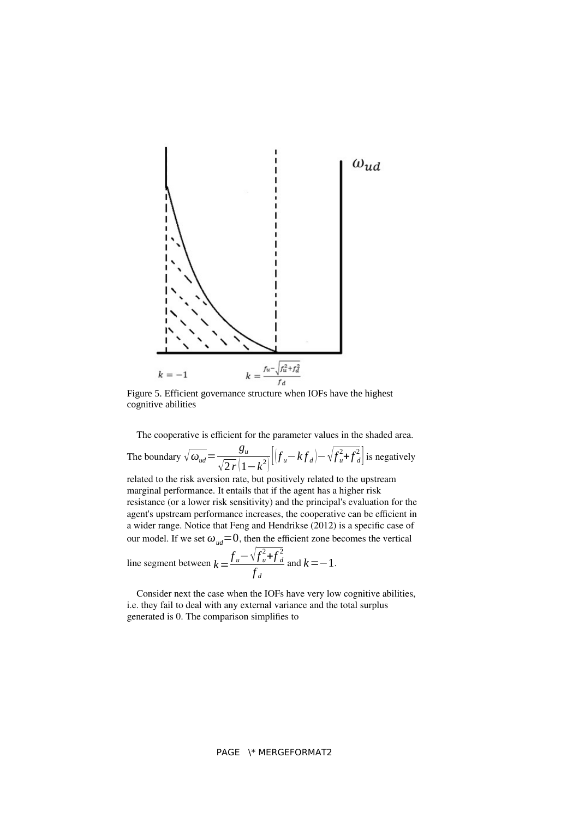

Figure 5. Efficient governance structure when IOFs have the highest cognitive abilities

The cooperative is efficient for the parameter values in the shaded area.

The boundary  $\sqrt{\omega_{ud}} = \frac{g_u}{\sqrt{g_u}}$  $\frac{g_u}{\sqrt{2r}(1-k^2)}[(f_u-kf_d)-\sqrt{f_u^2}]$  $u^2 + f^2$  $\frac{2}{d}$  is negatively

related to the risk aversion rate, but positively related to the upstream marginal performance. It entails that if the agent has a higher risk resistance (or a lower risk sensitivity) and the principal's evaluation for the agent's upstream performance increases, the cooperative can be efficient in a wider range. Notice that Feng and Hendrikse (2012) is a specific case of our model. If we set  $\omega_{ud} = 0$ , then the efficient zone becomes the vertical

line segment between 
$$
k = \frac{f_u - \sqrt{f_u^2 + f_d^2}}{f_d}
$$
 and  $k = -1$ .

Consider next the case when the IOFs have very low cognitive abilities, i.e. they fail to deal with any external variance and the total surplus generated is 0. The comparison simplifies to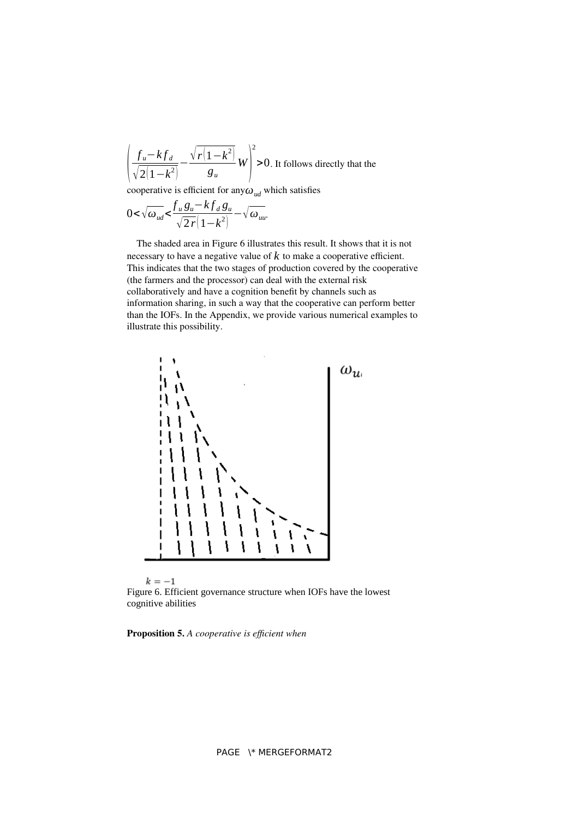$$
\left(\frac{f_u - kf_d}{\sqrt{2(1-k^2)}} - \frac{\sqrt{r(1-k^2)}}{g_u}\right)^2 > 0.
$$
 It follows directly that the

cooperative is efficient for any*ωud* which satisfies

$$
0 < \sqrt{\omega_{ud}} < \frac{f_u g_u - k f_d g_u}{\sqrt{2r}(1 - k^2)} - \sqrt{\omega_{uu}}.
$$

The shaded area in Figure 6 illustrates this result. It shows that it is not necessary to have a negative value of  $k$  to make a cooperative efficient. This indicates that the two stages of production covered by the cooperative (the farmers and the processor) can deal with the external risk collaboratively and have a cognition benefit by channels such as information sharing, in such a way that the cooperative can perform better than the IOFs. In the Appendix, we provide various numerical examples to illustrate this possibility.



Figure 6. Efficient governance structure when IOFs have the lowest cognitive abilities

**Proposition 5.** *A cooperative is efficient when*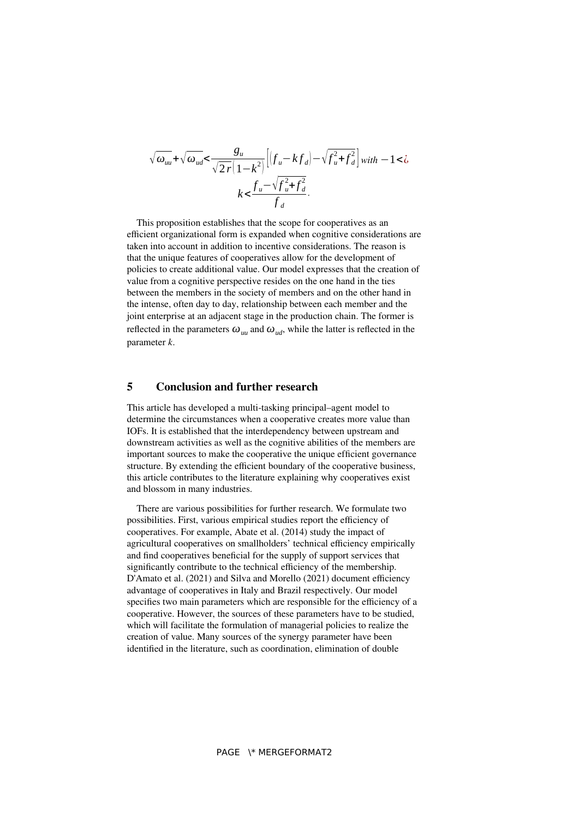$$
\sqrt{\omega_{uu}} + \sqrt{\omega_{ud}} < \frac{g_u}{\sqrt{2r}(1-k^2)} \left[ \left(f_u - kf_d\right) - \sqrt{f_u^2 + f_d^2} \right] \text{ with } -1 < \lambda
$$

$$
k < \frac{f_u - \sqrt{f_u^2 + f_d^2}}{f_d}.
$$

This proposition establishes that the scope for cooperatives as an efficient organizational form is expanded when cognitive considerations are taken into account in addition to incentive considerations. The reason is that the unique features of cooperatives allow for the development of policies to create additional value. Our model expresses that the creation of value from a cognitive perspective resides on the one hand in the ties between the members in the society of members and on the other hand in the intense, often day to day, relationship between each member and the joint enterprise at an adjacent stage in the production chain. The former is reflected in the parameters  $\omega_{uu}$  and  $\omega_{ud}$ , while the latter is reflected in the parameter *k*.

#### **5 Conclusion and further research**

This article has developed a multi-tasking principal–agent model to determine the circumstances when a cooperative creates more value than IOFs. It is established that the interdependency between upstream and downstream activities as well as the cognitive abilities of the members are important sources to make the cooperative the unique efficient governance structure. By extending the efficient boundary of the cooperative business, this article contributes to the literature explaining why cooperatives exist and blossom in many industries.

There are various possibilities for further research. We formulate two possibilities. First, various empirical studies report the efficiency of cooperatives. For example, Abate et al. (2014) study the impact of agricultural cooperatives on smallholders' technical efficiency empirically and find cooperatives beneficial for the supply of support services that significantly contribute to the technical efficiency of the membership. D'Amato et al. (2021) and Silva and Morello (2021) document efficiency advantage of cooperatives in Italy and Brazil respectively. Our model specifies two main parameters which are responsible for the efficiency of a cooperative. However, the sources of these parameters have to be studied, which will facilitate the formulation of managerial policies to realize the creation of value. Many sources of the synergy parameter have been identified in the literature, such as coordination, elimination of double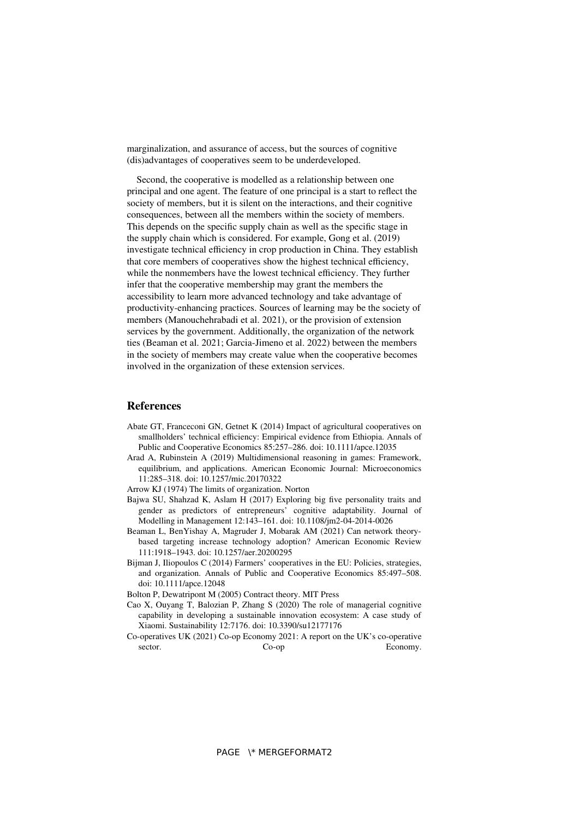marginalization, and assurance of access, but the sources of cognitive (dis)advantages of cooperatives seem to be underdeveloped.

Second, the cooperative is modelled as a relationship between one principal and one agent. The feature of one principal is a start to reflect the society of members, but it is silent on the interactions, and their cognitive consequences, between all the members within the society of members. This depends on the specific supply chain as well as the specific stage in the supply chain which is considered. For example, Gong et al. (2019) investigate technical efficiency in crop production in China. They establish that core members of cooperatives show the highest technical efficiency, while the nonmembers have the lowest technical efficiency. They further infer that the cooperative membership may grant the members the accessibility to learn more advanced technology and take advantage of productivity-enhancing practices. Sources of learning may be the society of members (Manouchehrabadi et al. 2021), or the provision of extension services by the government. Additionally, the organization of the network ties (Beaman et al. 2021; Garcia-Jimeno et al. 2022) between the members in the society of members may create value when the cooperative becomes involved in the organization of these extension services.

#### **References**

- Abate GT, Franceconi GN, Getnet K (2014) Impact of agricultural cooperatives on smallholders' technical efficiency: Empirical evidence from Ethiopia. Annals of Public and Cooperative Economics 85:257–286. doi: 10.1111/apce.12035
- Arad A, Rubinstein A (2019) Multidimensional reasoning in games: Framework, equilibrium, and applications. American Economic Journal: Microeconomics 11:285–318. doi: 10.1257/mic.20170322
- Arrow KJ (1974) The limits of organization. Norton
- Bajwa SU, Shahzad K, Aslam H (2017) Exploring big five personality traits and gender as predictors of entrepreneurs' cognitive adaptability. Journal of Modelling in Management 12:143–161. doi: 10.1108/jm2-04-2014-0026
- Beaman L, BenYishay A, Magruder J, Mobarak AM (2021) Can network theorybased targeting increase technology adoption? American Economic Review 111:1918–1943. doi: 10.1257/aer.20200295
- Bijman J, Iliopoulos C (2014) Farmers' cooperatives in the EU: Policies, strategies, and organization. Annals of Public and Cooperative Economics 85:497–508. doi: 10.1111/apce.12048
- Bolton P, Dewatripont M (2005) Contract theory. MIT Press
- Cao X, Ouyang T, Balozian P, Zhang S (2020) The role of managerial cognitive capability in developing a sustainable innovation ecosystem: A case study of Xiaomi. Sustainability 12:7176. doi: 10.3390/su12177176
- Co-operatives UK (2021) Co-op Economy 2021: A report on the UK's co-operative sector. Co-op Economy.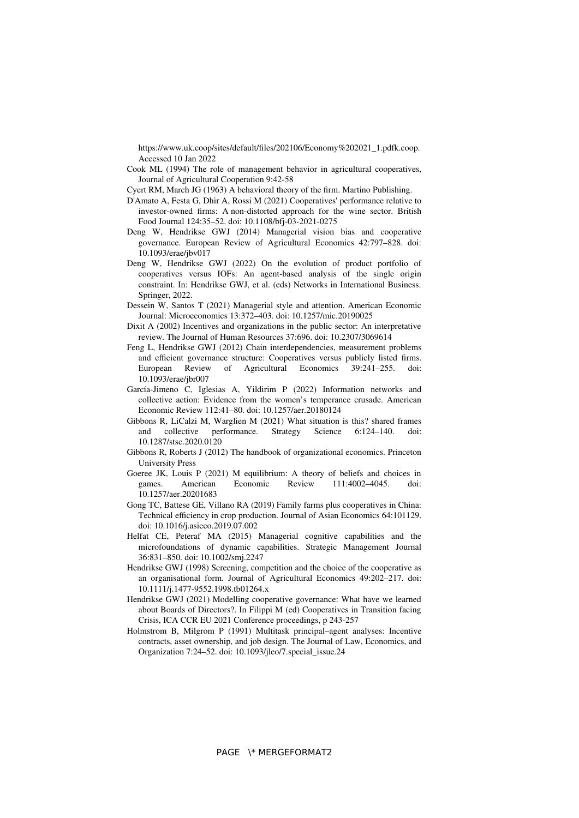https://www.uk.coop/sites/default/files/202106/Economy%202021\_1.pdfk.coop. Accessed 10 Jan 2022

- Cook ML (1994) The role of management behavior in agricultural cooperatives, Journal of Agricultural Cooperation 9:42-58
- Cyert RM, March JG (1963) A behavioral theory of the firm. Martino Publishing.
- D'Amato A, Festa G, Dhir A, Rossi M (2021) Cooperatives' performance relative to investor-owned firms: A non-distorted approach for the wine sector. British Food Journal 124:35–52. doi: 10.1108/bfj-03-2021-0275
- Deng W, Hendrikse GWJ (2014) Managerial vision bias and cooperative governance. European Review of Agricultural Economics 42:797–828. doi: 10.1093/erae/jbv017
- Deng W, Hendrikse GWJ (2022) On the evolution of product portfolio of cooperatives versus IOFs: An agent-based analysis of the single origin constraint. In: Hendrikse GWJ, et al. (eds) Networks in International Business. Springer, 2022.
- Dessein W, Santos T (2021) Managerial style and attention. American Economic Journal: Microeconomics 13:372–403. doi: 10.1257/mic.20190025
- Dixit A (2002) Incentives and organizations in the public sector: An interpretative review. The Journal of Human Resources 37:696. doi: 10.2307/3069614
- Feng L, Hendrikse GWJ (2012) Chain interdependencies, measurement problems and efficient governance structure: Cooperatives versus publicly listed firms.<br>European Review of Agricultural Economics 39:241–255. doi: of Agricultural Economics 39:241–255. doi: 10.1093/erae/jbr007
- García-Jimeno C, Iglesias A, Yildirim P (2022) Information networks and collective action: Evidence from the women's temperance crusade. American Economic Review 112:41–80. doi: 10.1257/aer.20180124
- Gibbons R, LiCalzi M, Warglien M (2021) What situation is this? shared frames and collective performance. Strategy Science 6:124–140. doi: and collective performance. Strategy Science 6:124–140. doi: 10.1287/stsc.2020.0120
- Gibbons R, Roberts J (2012) The handbook of organizational economics. Princeton University Press
- Goeree JK, Louis P (2021) M equilibrium: A theory of beliefs and choices in games American Economic Review  $111 \cdot 4002 4045$  doi games. American Economic Review 111:4002–4045. doi: 10.1257/aer.20201683
- Gong TC, Battese GE, Villano RA (2019) Family farms plus cooperatives in China: Technical efficiency in crop production. Journal of Asian Economics 64:101129. doi: 10.1016/j.asieco.2019.07.002
- Helfat CE, Peteraf MA (2015) Managerial cognitive capabilities and the microfoundations of dynamic capabilities. Strategic Management Journal 36:831–850. doi: 10.1002/smj.2247
- Hendrikse GWJ (1998) Screening, competition and the choice of the cooperative as an organisational form. Journal of Agricultural Economics 49:202–217. doi: 10.1111/j.1477-9552.1998.tb01264.x
- Hendrikse GWJ (2021) Modelling cooperative governance: What have we learned about Boards of Directors?. In Filippi M (ed) Cooperatives in Transition facing Crisis, ICA CCR EU 2021 Conference proceedings, p 243-257
- Holmstrom B, Milgrom P (1991) Multitask principal–agent analyses: Incentive contracts, asset ownership, and job design. The Journal of Law, Economics, and Organization 7:24–52. doi: 10.1093/jleo/7.special\_issue.24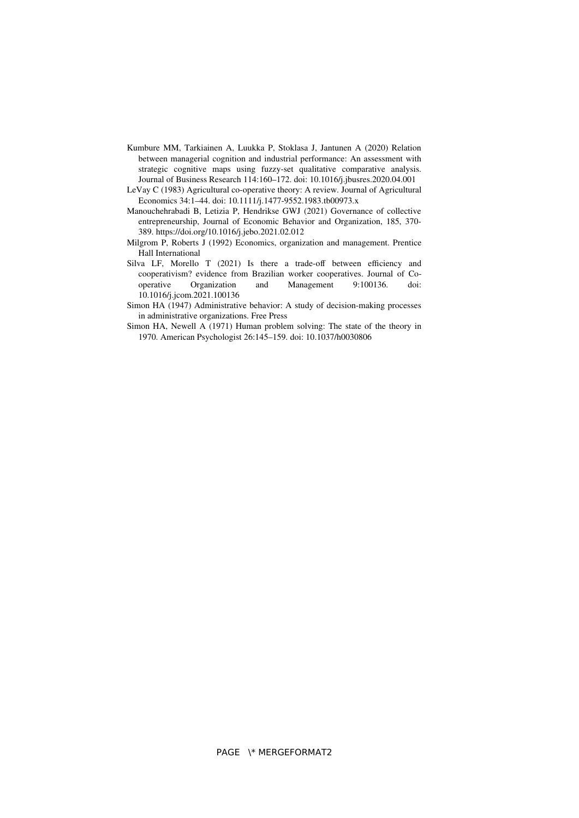- Kumbure MM, Tarkiainen A, Luukka P, Stoklasa J, Jantunen A (2020) Relation between managerial cognition and industrial performance: An assessment with strategic cognitive maps using fuzzy-set qualitative comparative analysis. Journal of Business Research 114:160–172. doi: 10.1016/j.jbusres.2020.04.001
- LeVay C (1983) Agricultural co-operative theory: A review. Journal of Agricultural Economics 34:1–44. doi: 10.1111/j.1477-9552.1983.tb00973.x
- Manouchehrabadi B, Letizia P, Hendrikse GWJ (2021) Governance of collective entrepreneurship, Journal of Economic Behavior and Organization, 185, 370- 389. https://doi.org/10.1016/j.jebo.2021.02.012
- Milgrom P, Roberts J (1992) Economics, organization and management. Prentice Hall International
- Silva LF, Morello T (2021) Is there a trade-off between efficiency and cooperativism? evidence from Brazilian worker cooperatives. Journal of Co-<br>operative Corganization and Management 9:100136. doi: operative Organization and Management 9:100136. doi: 10.1016/j.jcom.2021.100136
- Simon HA (1947) Administrative behavior: A study of decision-making processes in administrative organizations. Free Press
- Simon HA, Newell A (1971) Human problem solving: The state of the theory in 1970. American Psychologist 26:145–159. doi: 10.1037/h0030806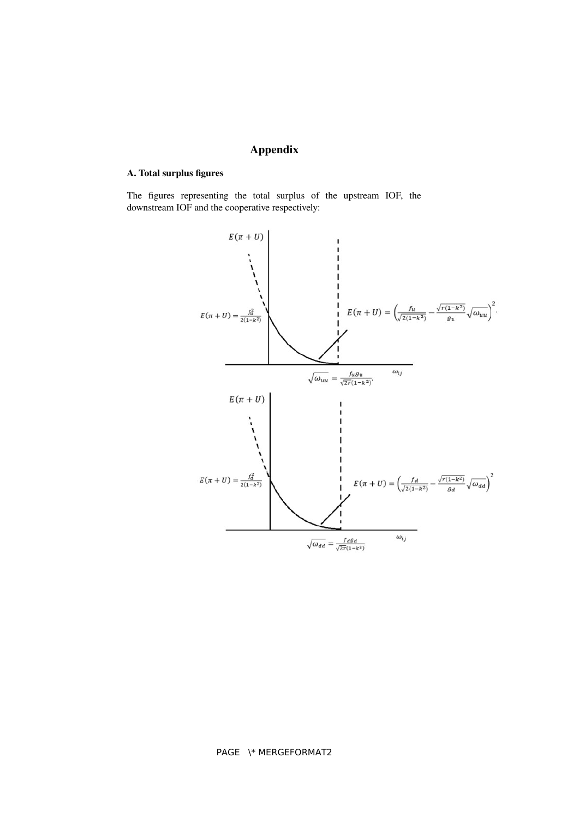# **Appendix**

### **A. Total surplus figures**

The figures representing the total surplus of the upstream IOF, the downstream IOF and the cooperative respectively:

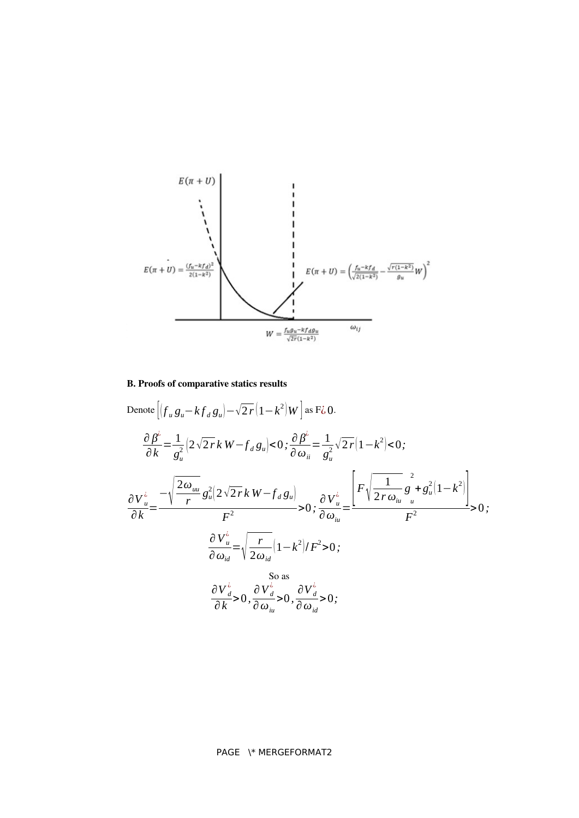

### **B. Proofs of comparative statics results**

Denote 
$$
\left[ \left( f_u g_u - k f_d g_u \right) - \sqrt{2r} \left( 1 - k^2 \right) W \right] \text{ as } F\zeta \text{ 0.}
$$
\n
$$
\frac{\partial \beta^{\zeta}}{\partial k} = \frac{1}{g_u^2} \left( 2\sqrt{2r} k W - f_d g_u \right) < 0; \frac{\partial \beta^{\zeta}}{\partial \omega_{ii}} = \frac{1}{g_u^2} \sqrt{2r} \left( 1 - k^2 \right) < 0;
$$
\n
$$
\frac{\partial V_u^{\zeta}}{\partial k} = \frac{-\sqrt{\frac{2\omega_{uu}}{r} g_u^2 \left( 2\sqrt{2r} k W - f_d g_u \right)}}{F^2} > 0; \frac{\partial V_u^{\zeta}}{\partial \omega_{iu}} = \frac{\left[ F \sqrt{\frac{1}{2r \omega_{iu}} g_u^2 + g_u^2 \left( 1 - k^2 \right)} \right]}{F^2} > 0;
$$
\n
$$
\frac{\partial V_u^{\zeta}}{\partial \omega_{id}} = \sqrt{\frac{r}{2\omega_{id}} \left( 1 - k^2 \right) / F^2} > 0;
$$
\nSo as\n
$$
\frac{\partial V_d^{\zeta}}{\partial k} > 0, \frac{\partial V_d^{\zeta}}{\partial \omega_{iu}} > 0, \frac{\partial V_d^{\zeta}}{\partial \omega_{id}} > 0;
$$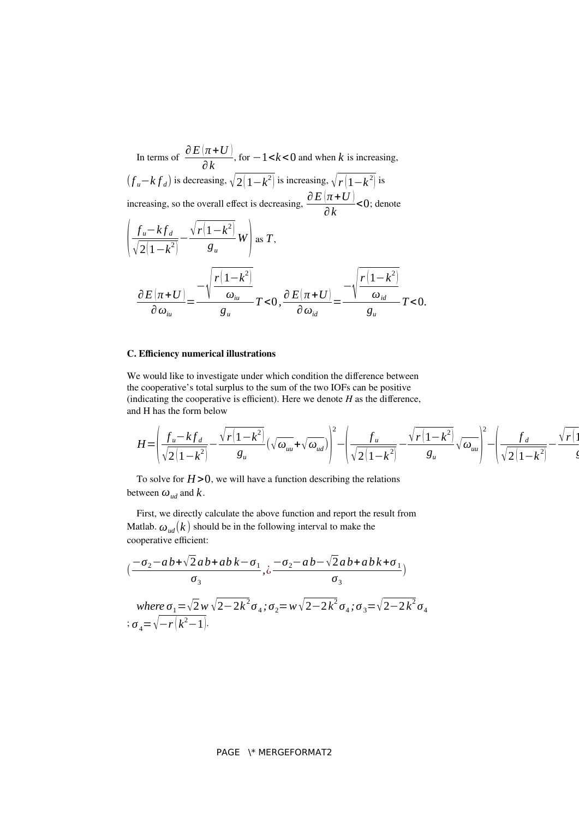In terms of  $\frac{\partial E(\pi+U)}{\partial L}$ *∂ k* , for −1<*k*<0 and when *k* is increasing,  $(f<sub>u</sub>−k f<sub>d</sub>)$  is decreasing,  $\sqrt{2(1-k^2)}$  is increasing,  $\sqrt{r(1-k^2)}$  is increasing, so the overall effect is decreasing,  $\frac{\partial E(\pi+U)}{\partial x}$ *∂ k*  $<$ 0; denote  $\overline{\phantom{a}}$  $f_u - kf_d$  $\sqrt{2(1-k^2)}$  $-\frac{\sqrt{r(1-k^2)}}{r}$  $\frac{H^2}{g_u}$  *W* as *T*,  $\partial E$   $(\pi$  + *U*  $)$ *∂ωiu*  $=\frac{-\sqrt{\frac{1}{2}}}{\frac{1}{2}}$  $r(1-k^2)$ *ωiu gu*  $T < 0, \frac{\partial E(\pi + U)}{\partial}$ *∂ωid*  $=\frac{-\sqrt{\frac{1}{2}}}{2}$  $r(1-k^2)$ *ωid gu T*<0.

#### **C. Efficiency numerical illustrations**

We would like to investigate under which condition the difference between the cooperative's total surplus to the sum of the two IOFs can be positive (indicating the cooperative is efficient). Here we denote *H* as the difference, and H has the form below

$$
H = \left(\frac{f_u - kf_d}{\sqrt{2(1-k^2)}} - \frac{\sqrt{r(1-k^2)}}{g_u}(\sqrt{\omega_{uu}} + \sqrt{\omega_{ud}})\right)^2 - \left(\frac{f_u}{\sqrt{2(1-k^2)}} - \frac{\sqrt{r(1-k^2)}}{g_u}\sqrt{\omega_{uu}}\right)^2 - \left(\frac{f_d}{\sqrt{2(1-k^2)}} - \frac{\sqrt{r(1-k^2)}}{g_u}\sqrt{\omega_{uu}}\right)^2
$$

To solve for  $H > 0$ , we will have a function describing the relations between  $\omega_{ud}$  and  $k$ .

First, we directly calculate the above function and report the result from Matlab.  $\omega_{ud}(k)$  should be in the following interval to make the cooperative efficient:

$$
\left(\frac{-\sigma_2 - ab + \sqrt{2}ab + abk - \sigma_1}{\sigma_3}, \frac{-\sigma_2 - ab - \sqrt{2}ab + abk + \sigma_1}{\sigma_3}\right)
$$

 $a_1 = \sqrt{2}$  *w*  $\sqrt{2} - 2k^2 \sigma_4$  ;  $\sigma_2 = w\sqrt{2} - 2k^2 \sigma_4$  ;  $\sigma_3 = \sqrt{2} - 2k^2 \sigma_4$  $\sigma_4 = \sqrt{-r(k^2-1)}$ .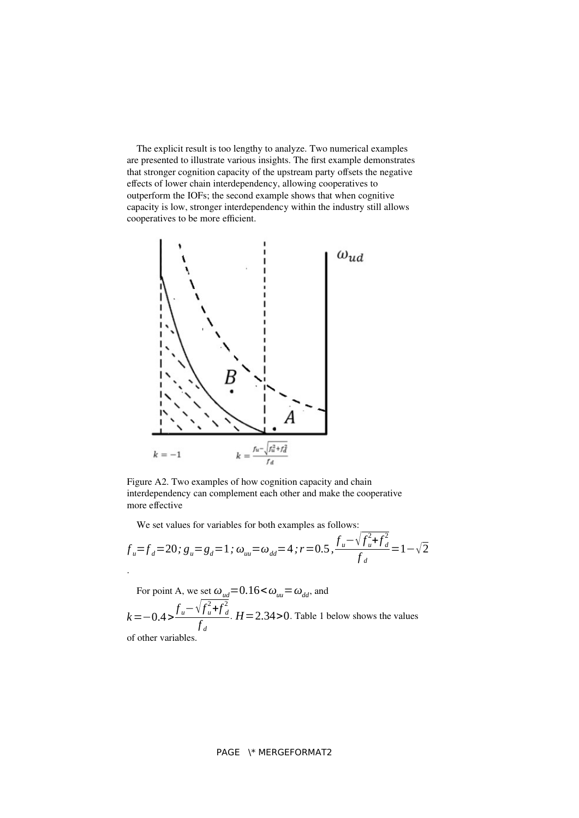The explicit result is too lengthy to analyze. Two numerical examples are presented to illustrate various insights. The first example demonstrates that stronger cognition capacity of the upstream party offsets the negative effects of lower chain interdependency, allowing cooperatives to outperform the IOFs; the second example shows that when cognitive capacity is low, stronger interdependency within the industry still allows cooperatives to be more efficient.



Figure A2. Two examples of how cognition capacity and chain interdependency can complement each other and make the cooperative more effective

We set values for variables for both examples as follows:

$$
f_u = f_d = 20; g_u = g_d = 1; \omega_{uu} = \omega_{dd} = 4; r = 0.5, \frac{f_u - \sqrt{f_u^2 + f_d^2}}{f_d} = 1 - \sqrt{2}
$$

For point A, we set  $\omega_{ud} = 0.16 \leq \omega_{uu} = \omega_{dd}$ , and  $k = -0.4 > \frac{f_u - \sqrt{f_u^2}}{f_u^2}$  $\int_a^2$ + $\int_d^2$ 2 *f d*  $H = 2.34 > 0$ . Table 1 below shows the values of other variables.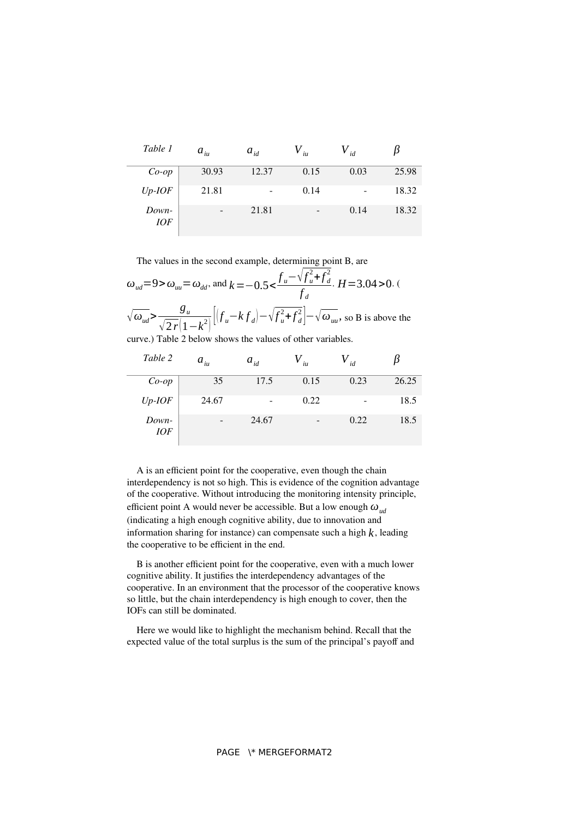| Table 1   | $a_{_{iu}}$ | $a_{id}$                 | iи   | id                       |       |
|-----------|-------------|--------------------------|------|--------------------------|-------|
| $Co$ -op  | 30.93       | 12.37                    | 0.15 | 0.03                     | 25.98 |
| $Up$ -IOF | 21.81       | $\overline{\phantom{a}}$ | 0.14 | $\overline{\phantom{a}}$ | 18.32 |

- 21.81 - 0.14 18.32

The values in the second example, determining point B, are

*Down-IOF*

| $\omega_{ud} = 9$ > $\omega_{uu} = \omega_{dd}$ , and $k = -0.5 < \frac{f_u - \sqrt{f_u^2 + f_d^2}}{f_d}$ . $H = 3.04$ > 0. (                        |  |
|------------------------------------------------------------------------------------------------------------------------------------------------------|--|
| $\sqrt{\omega_{ud}} > \frac{g_u}{\sqrt{2r(1-k^2)}} \Big[ \Big(f_u - kf_d\Big) - \sqrt{f_u^2 + f_d^2} \Big] - \sqrt{\omega_{uu}}$ , so B is above the |  |

curve.) Table 2 below shows the values of other variables.

| Table 2             | $a_{i u}$ | $a_{id}$ | $\dot{u}$ | $V_{id}$ |       |
|---------------------|-----------|----------|-----------|----------|-------|
| $Co$ -op            | 35        | 17.5     | 0.15      | 0.23     | 26.25 |
| $Up$ -IOF           | 24.67     | ۰        | 0.22      |          | 18.5  |
| Down-<br><b>IOF</b> |           | 24.67    |           | 0.22     | 18.5  |

A is an efficient point for the cooperative, even though the chain interdependency is not so high. This is evidence of the cognition advantage of the cooperative. Without introducing the monitoring intensity principle, efficient point A would never be accessible. But a low enough *ωud* (indicating a high enough cognitive ability, due to innovation and information sharing for instance) can compensate such a high  $k$ , leading the cooperative to be efficient in the end.

B is another efficient point for the cooperative, even with a much lower cognitive ability. It justifies the interdependency advantages of the cooperative. In an environment that the processor of the cooperative knows so little, but the chain interdependency is high enough to cover, then the IOFs can still be dominated.

Here we would like to highlight the mechanism behind. Recall that the expected value of the total surplus is the sum of the principal's payoff and